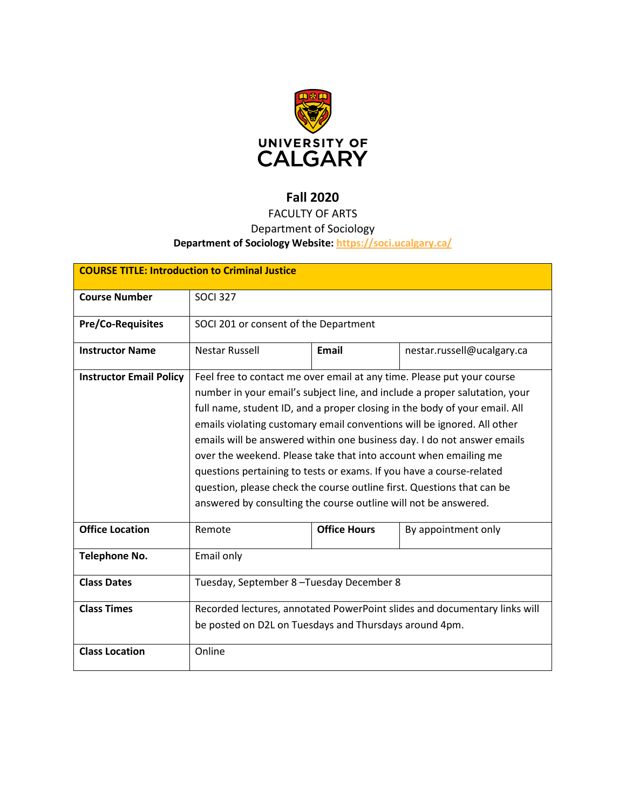

# **Fall 2020**

# FACULTY OF ARTS

## Department of Sociology

## **Department of Sociology Website:<https://soci.ucalgary.ca/>**

| <b>COURSE TITLE: Introduction to Criminal Justice</b> |                                                                                                                                                                                                                                                                                                                                                                                                                                                                                                                                                                                                                                                                                   |                     |                            |  |  |
|-------------------------------------------------------|-----------------------------------------------------------------------------------------------------------------------------------------------------------------------------------------------------------------------------------------------------------------------------------------------------------------------------------------------------------------------------------------------------------------------------------------------------------------------------------------------------------------------------------------------------------------------------------------------------------------------------------------------------------------------------------|---------------------|----------------------------|--|--|
| <b>Course Number</b>                                  | <b>SOCI 327</b>                                                                                                                                                                                                                                                                                                                                                                                                                                                                                                                                                                                                                                                                   |                     |                            |  |  |
| <b>Pre/Co-Requisites</b>                              | SOCI 201 or consent of the Department                                                                                                                                                                                                                                                                                                                                                                                                                                                                                                                                                                                                                                             |                     |                            |  |  |
| <b>Instructor Name</b>                                | <b>Nestar Russell</b>                                                                                                                                                                                                                                                                                                                                                                                                                                                                                                                                                                                                                                                             | <b>Email</b>        | nestar.russell@ucalgary.ca |  |  |
| <b>Instructor Email Policy</b>                        | Feel free to contact me over email at any time. Please put your course<br>number in your email's subject line, and include a proper salutation, your<br>full name, student ID, and a proper closing in the body of your email. All<br>emails violating customary email conventions will be ignored. All other<br>emails will be answered within one business day. I do not answer emails<br>over the weekend. Please take that into account when emailing me<br>questions pertaining to tests or exams. If you have a course-related<br>question, please check the course outline first. Questions that can be<br>answered by consulting the course outline will not be answered. |                     |                            |  |  |
| <b>Office Location</b>                                | Remote                                                                                                                                                                                                                                                                                                                                                                                                                                                                                                                                                                                                                                                                            | <b>Office Hours</b> | By appointment only        |  |  |
| <b>Telephone No.</b>                                  | Email only                                                                                                                                                                                                                                                                                                                                                                                                                                                                                                                                                                                                                                                                        |                     |                            |  |  |
| <b>Class Dates</b>                                    | Tuesday, September 8-Tuesday December 8                                                                                                                                                                                                                                                                                                                                                                                                                                                                                                                                                                                                                                           |                     |                            |  |  |
| <b>Class Times</b>                                    | Recorded lectures, annotated PowerPoint slides and documentary links will<br>be posted on D2L on Tuesdays and Thursdays around 4pm.                                                                                                                                                                                                                                                                                                                                                                                                                                                                                                                                               |                     |                            |  |  |
| <b>Class Location</b>                                 | Online                                                                                                                                                                                                                                                                                                                                                                                                                                                                                                                                                                                                                                                                            |                     |                            |  |  |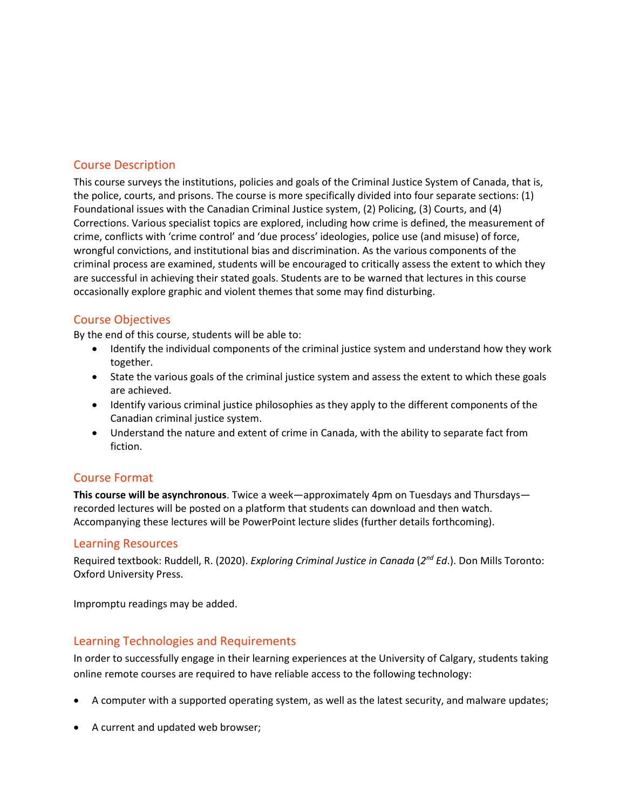### Course Description

This course surveys the institutions, policies and goals of the Criminal Justice System of Canada, that is, the police, courts, and prisons. The course is more specifically divided into four separate sections: (1) Foundational issues with the Canadian Criminal Justice system, (2) Policing, (3) Courts, and (4) Corrections. Various specialist topics are explored, including how crime is defined, the measurement of crime, conflicts with 'crime control' and 'due process' ideologies, police use (and misuse) of force, wrongful convictions, and institutional bias and discrimination. As the various components of the criminal process are examined, students will be encouraged to critically assess the extent to which they are successful in achieving their stated goals. Students are to be warned that lectures in this course occasionally explore graphic and violent themes that some may find disturbing.

### Course Objectives

By the end of this course, students will be able to:

- Identify the individual components of the criminal justice system and understand how they work together.
- State the various goals of the criminal justice system and assess the extent to which these goals are achieved.
- Identify various criminal justice philosophies as they apply to the different components of the Canadian criminal justice system.
- Understand the nature and extent of crime in Canada, with the ability to separate fact from fiction.

#### Course Format

**This course will be asynchronous**. Twice a week—approximately 4pm on Tuesdays and Thursdays recorded lectures will be posted on a platform that students can download and then watch. Accompanying these lectures will be PowerPoint lecture slides (further details forthcoming).

#### Learning Resources

Required textbook: Ruddell, R. (2020). *Exploring Criminal Justice in Canada* (*2nd Ed*.). Don Mills Toronto: Oxford University Press.

Impromptu readings may be added.

#### Learning Technologies and Requirements

In order to successfully engage in their learning experiences at the University of Calgary, students taking online remote courses are required to have reliable access to the following technology:

- A computer with a supported operating system, as well as the latest security, and malware updates;
- A current and updated web browser;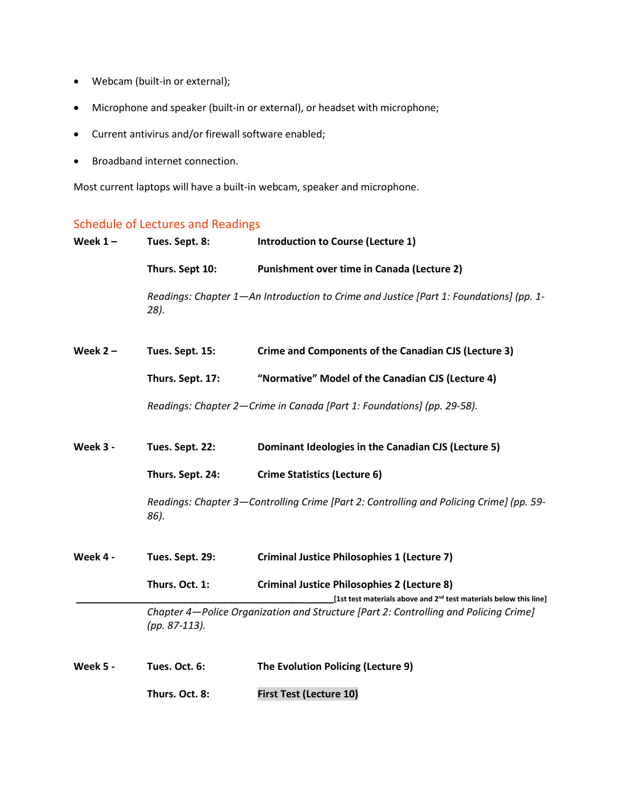- Webcam (built-in or external);
- Microphone and speaker (built-in or external), or headset with microphone;
- Current antivirus and/or firewall software enabled;
- Broadband internet connection.

Most current laptops will have a built-in webcam, speaker and microphone.

## Schedule of Lectures and Readings

| Week $1 -$ | Tues. Sept. 8:   | <b>Introduction to Course (Lecture 1)</b>                                                                                           |
|------------|------------------|-------------------------------------------------------------------------------------------------------------------------------------|
|            | Thurs. Sept 10:  | Punishment over time in Canada (Lecture 2)                                                                                          |
|            | 28).             | Readings: Chapter 1—An Introduction to Crime and Justice [Part 1: Foundations] (pp. 1-                                              |
| Week $2 -$ | Tues. Sept. 15:  | Crime and Components of the Canadian CJS (Lecture 3)                                                                                |
|            | Thurs. Sept. 17: | "Normative" Model of the Canadian CJS (Lecture 4)                                                                                   |
|            |                  | Readings: Chapter 2-Crime in Canada [Part 1: Foundations] (pp. 29-58).                                                              |
| Week 3 -   | Tues. Sept. 22:  | Dominant Ideologies in the Canadian CJS (Lecture 5)                                                                                 |
|            | Thurs. Sept. 24: | <b>Crime Statistics (Lecture 6)</b>                                                                                                 |
|            | 86).             | Readings: Chapter 3-Controlling Crime [Part 2: Controlling and Policing Crime] (pp. 59-                                             |
| Week 4 -   | Tues. Sept. 29:  | <b>Criminal Justice Philosophies 1 (Lecture 7)</b>                                                                                  |
|            | Thurs. Oct. 1:   | <b>Criminal Justice Philosophies 2 (Lecture 8)</b><br>[1st test materials above and 2 <sup>nd</sup> test materials below this line] |
|            | (pp. 87-113).    | Chapter 4—Police Organization and Structure [Part 2: Controlling and Policing Crime]                                                |
| Week 5 -   | Tues. Oct. 6:    | The Evolution Policing (Lecture 9)                                                                                                  |
|            | Thurs. Oct. 8:   | <b>First Test (Lecture 10)</b>                                                                                                      |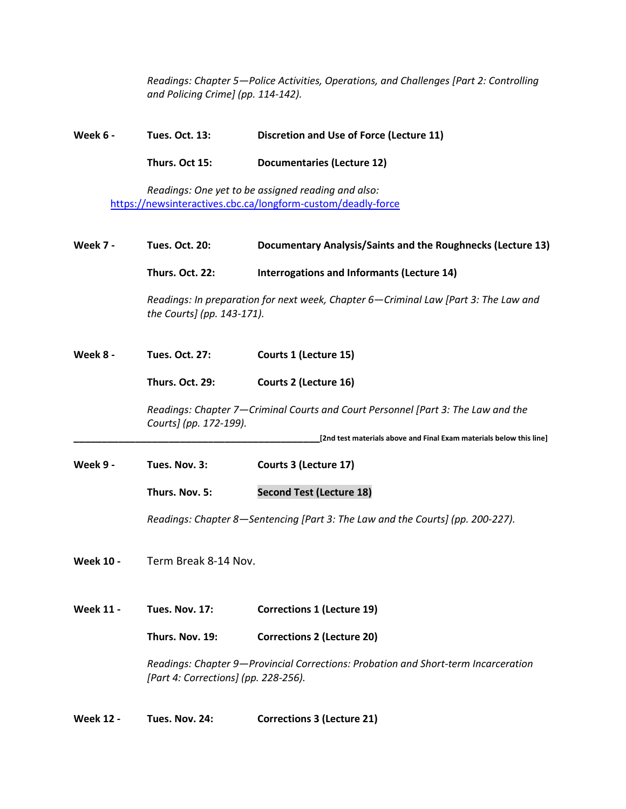*Readings: Chapter 5—Police Activities, Operations, and Challenges [Part 2: Controlling and Policing Crime] (pp. 114-142).*

**Week 6 - Tues. Oct. 13: Discretion and Use of Force (Lecture 11)**

**Thurs. Oct 15: Documentaries (Lecture 12)**

*Readings: One yet to be assigned reading and also:* <https://newsinteractives.cbc.ca/longform-custom/deadly-force>

**Week 7 - Tues. Oct. 20: Documentary Analysis/Saints and the Roughnecks (Lecture 13) Thurs. Oct. 22: Interrogations and Informants (Lecture 14)** *Readings: In preparation for next week, Chapter 6—Criminal Law [Part 3: The Law and the Courts] (pp. 143-171).* **Week 8 - Tues. Oct. 27: Courts 1 (Lecture 15) Thurs. Oct. 29: Courts 2 (Lecture 16)** *Readings: Chapter 7—Criminal Courts and Court Personnel [Part 3: The Law and the Courts] (pp. 172-199).* **\_\_\_\_\_\_\_\_\_\_\_\_\_\_\_\_\_\_\_\_\_\_\_\_\_\_\_\_\_\_\_\_\_\_\_\_\_\_\_\_\_\_\_\_[2nd test materials above and Final Exam materials below this line] Week 9 - Tues. Nov. 3: Courts 3 (Lecture 17) Thurs. Nov. 5: Second Test (Lecture 18)** *Readings: Chapter 8—Sentencing [Part 3: The Law and the Courts] (pp. 200-227).* **Week 10 -** Term Break 8-14 Nov. **Week 11 - Tues. Nov. 17: Corrections 1 (Lecture 19) Thurs. Nov. 19: Corrections 2 (Lecture 20)** *Readings: Chapter 9—Provincial Corrections: Probation and Short-term Incarceration [Part 4: Corrections] (pp. 228-256).*

**Week 12 - Tues. Nov. 24: Corrections 3 (Lecture 21)**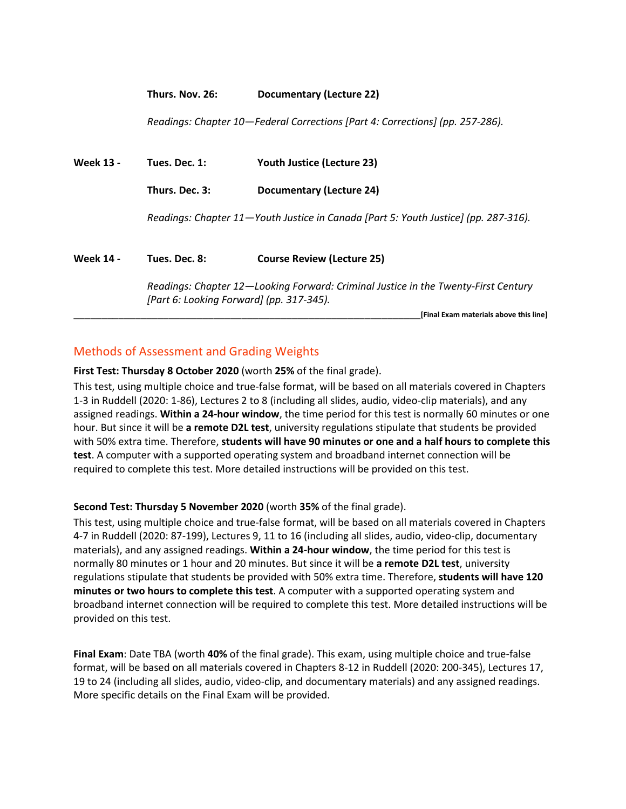#### **Thurs. Nov. 26: Documentary (Lecture 22)**

*Readings: Chapter 10—Federal Corrections [Part 4: Corrections] (pp. 257-286).*

| <b>Week 13 -</b> | Tues. Dec. 1:                                                                                                                  | <b>Youth Justice (Lecture 23)</b>                                                   |  |
|------------------|--------------------------------------------------------------------------------------------------------------------------------|-------------------------------------------------------------------------------------|--|
|                  | Thurs. Dec. 3:                                                                                                                 | Documentary (Lecture 24)                                                            |  |
|                  |                                                                                                                                | Readings: Chapter 11-Youth Justice in Canada [Part 5: Youth Justice] (pp. 287-316). |  |
| <b>Week 14 -</b> | Tues. Dec. 8:                                                                                                                  | <b>Course Review (Lecture 25)</b>                                                   |  |
|                  | Readings: Chapter 12—Looking Forward: Criminal Justice in the Twenty-First Century<br>[Part 6: Looking Forward] (pp. 317-345). |                                                                                     |  |
|                  |                                                                                                                                | [Final Exam materials above this line]                                              |  |

### Methods of Assessment and Grading Weights

**First Test: Thursday 8 October 2020** (worth **25%** of the final grade).

This test, using multiple choice and true-false format, will be based on all materials covered in Chapters 1-3 in Ruddell (2020: 1-86), Lectures 2 to 8 (including all slides, audio, video-clip materials), and any assigned readings. **Within a 24-hour window**, the time period for this test is normally 60 minutes or one hour. But since it will be **a remote D2L test**, university regulations stipulate that students be provided with 50% extra time. Therefore, **students will have 90 minutes or one and a half hours to complete this test**. A computer with a supported operating system and broadband internet connection will be required to complete this test. More detailed instructions will be provided on this test.

#### **Second Test: Thursday 5 November 2020** (worth **35%** of the final grade).

This test, using multiple choice and true-false format, will be based on all materials covered in Chapters 4-7 in Ruddell (2020: 87-199), Lectures 9, 11 to 16 (including all slides, audio, video-clip, documentary materials), and any assigned readings. **Within a 24-hour window**, the time period for this test is normally 80 minutes or 1 hour and 20 minutes. But since it will be **a remote D2L test**, university regulations stipulate that students be provided with 50% extra time. Therefore, **students will have 120 minutes or two hours to complete this test**. A computer with a supported operating system and broadband internet connection will be required to complete this test. More detailed instructions will be provided on this test.

**Final Exam**: Date TBA (worth **40%** of the final grade). This exam, using multiple choice and true-false format, will be based on all materials covered in Chapters 8-12 in Ruddell (2020: 200-345), Lectures 17, 19 to 24 (including all slides, audio, video-clip, and documentary materials) and any assigned readings. More specific details on the Final Exam will be provided.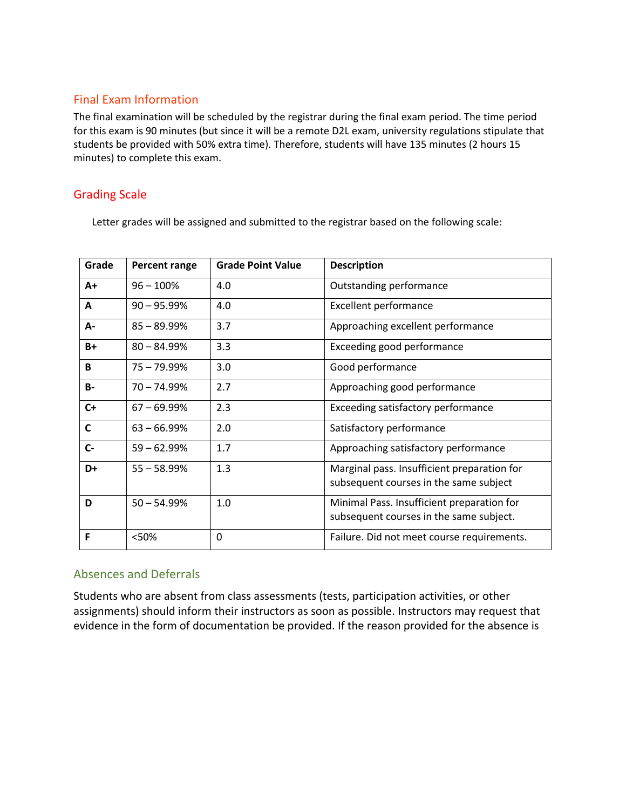## Final Exam Information

The final examination will be scheduled by the registrar during the final exam period. The time period for this exam is 90 minutes (but since it will be a remote D2L exam, university regulations stipulate that students be provided with 50% extra time). Therefore, students will have 135 minutes (2 hours 15 minutes) to complete this exam.

## Grading Scale

Letter grades will be assigned and submitted to the registrar based on the following scale:

| Grade        | <b>Percent range</b> | <b>Grade Point Value</b> | <b>Description</b>                                                                    |
|--------------|----------------------|--------------------------|---------------------------------------------------------------------------------------|
| $A+$         | $96 - 100%$          | 4.0                      | Outstanding performance                                                               |
| A            | $90 - 95.99\%$       | 4.0                      | <b>Excellent performance</b>                                                          |
| А-           | $85 - 89.99%$        | 3.7                      | Approaching excellent performance                                                     |
| $B+$         | $80 - 84.99\%$       | 3.3                      | Exceeding good performance                                                            |
| B            | 75 – 79.99%          | 3.0                      | Good performance                                                                      |
| <b>B-</b>    | $70 - 74.99%$        | 2.7                      | Approaching good performance                                                          |
| $C+$         | $67 - 69.99\%$       | 2.3                      | Exceeding satisfactory performance                                                    |
| $\mathsf{C}$ | $63 - 66.99%$        | 2.0                      | Satisfactory performance                                                              |
| $C -$        | $59 - 62.99%$        | 1.7                      | Approaching satisfactory performance                                                  |
| D+           | $55 - 58.99%$        | 1.3                      | Marginal pass. Insufficient preparation for<br>subsequent courses in the same subject |
| D            | $50 - 54.99%$        | 1.0                      | Minimal Pass. Insufficient preparation for<br>subsequent courses in the same subject. |
| F            | <50%                 | $\mathbf{0}$             | Failure. Did not meet course requirements.                                            |

### Absences and Deferrals

Students who are absent from class assessments (tests, participation activities, or other assignments) should inform their instructors as soon as possible. Instructors may request that evidence in the form of documentation be provided. If the reason provided for the absence is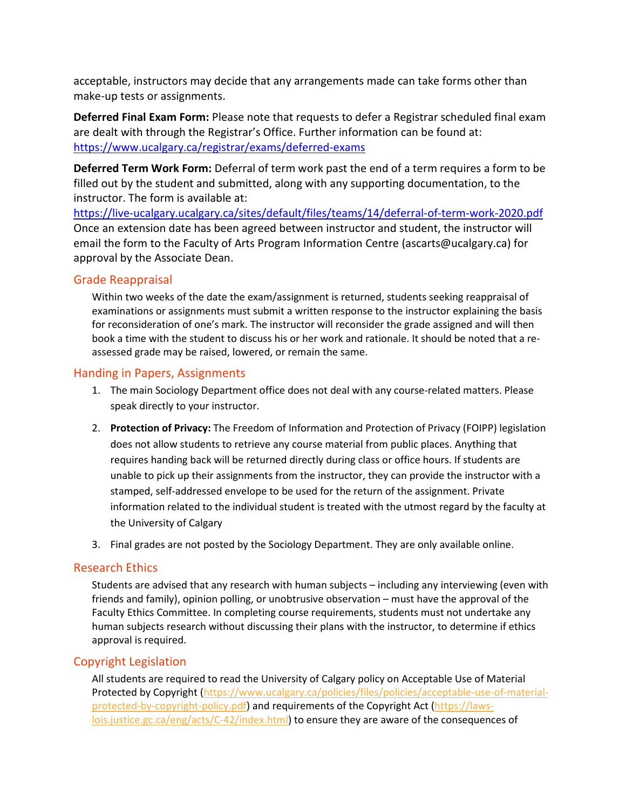acceptable, instructors may decide that any arrangements made can take forms other than make-up tests or assignments.

**Deferred Final Exam Form:** Please note that requests to defer a Registrar scheduled final exam are dealt with through the Registrar's Office. Further information can be found at: <https://www.ucalgary.ca/registrar/exams/deferred-exams>

**Deferred Term Work Form:** Deferral of term work past the end of a term requires a form to be filled out by the student and submitted, along with any supporting documentation, to the instructor. The form is available at:

<https://live-ucalgary.ucalgary.ca/sites/default/files/teams/14/deferral-of-term-work-2020.pdf> Once an extension date has been agreed between instructor and student, the instructor will email the form to the Faculty of Arts Program Information Centre (ascarts@ucalgary.ca) for approval by the Associate Dean.

### Grade Reappraisal

Within two weeks of the date the exam/assignment is returned, students seeking reappraisal of examinations or assignments must submit a written response to the instructor explaining the basis for reconsideration of one's mark. The instructor will reconsider the grade assigned and will then book a time with the student to discuss his or her work and rationale. It should be noted that a reassessed grade may be raised, lowered, or remain the same.

### Handing in Papers, Assignments

- 1. The main Sociology Department office does not deal with any course-related matters. Please speak directly to your instructor.
- 2. **Protection of Privacy:** The Freedom of Information and Protection of Privacy (FOIPP) legislation does not allow students to retrieve any course material from public places. Anything that requires handing back will be returned directly during class or office hours. If students are unable to pick up their assignments from the instructor, they can provide the instructor with a stamped, self-addressed envelope to be used for the return of the assignment. Private information related to the individual student is treated with the utmost regard by the faculty at the University of Calgary
- 3. Final grades are not posted by the Sociology Department. They are only available online.

#### Research Ethics

Students are advised that any research with human subjects – including any interviewing (even with friends and family), opinion polling, or unobtrusive observation – must have the approval of the Faculty Ethics Committee. In completing course requirements, students must not undertake any human subjects research without discussing their plans with the instructor, to determine if ethics approval is required.

## Copyright Legislation

All students are required to read the University of Calgary policy on Acceptable Use of Material Protected by Copyright [\(https://www.ucalgary.ca/policies/files/policies/acceptable-use-of-material](https://www.ucalgary.ca/policies/files/policies/acceptable-use-of-material-protected-by-copyright-policy.pdf)[protected-by-copyright-policy.pdf\)](https://www.ucalgary.ca/policies/files/policies/acceptable-use-of-material-protected-by-copyright-policy.pdf) and requirements of the Copyright Act [\(https://laws](https://laws-lois.justice.gc.ca/eng/acts/C-42/index.html)[lois.justice.gc.ca/eng/acts/C-42/index.html\)](https://laws-lois.justice.gc.ca/eng/acts/C-42/index.html) to ensure they are aware of the consequences of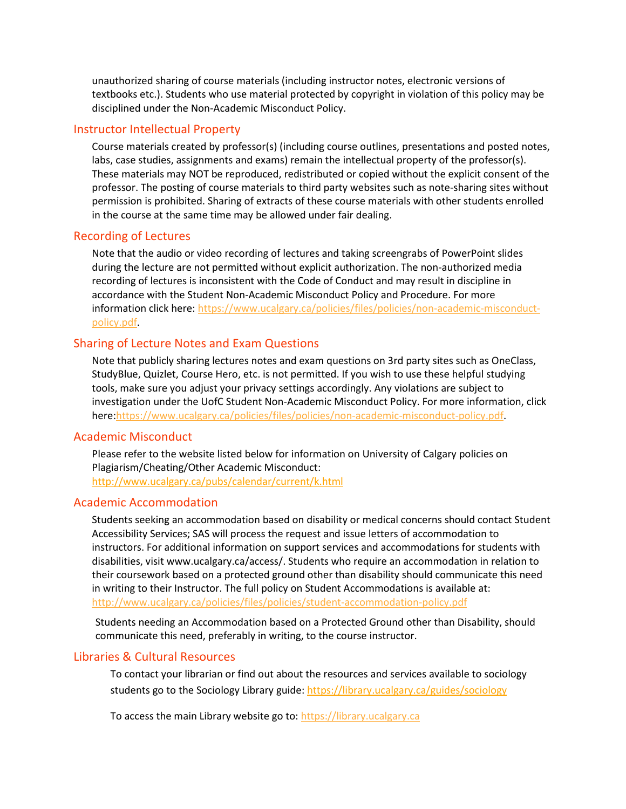unauthorized sharing of course materials (including instructor notes, electronic versions of textbooks etc.). Students who use material protected by copyright in violation of this policy may be disciplined under the Non-Academic Misconduct Policy.

#### Instructor Intellectual Property

Course materials created by professor(s) (including course outlines, presentations and posted notes, labs, case studies, assignments and exams) remain the intellectual property of the professor(s). These materials may NOT be reproduced, redistributed or copied without the explicit consent of the professor. The posting of course materials to third party websites such as note-sharing sites without permission is prohibited. Sharing of extracts of these course materials with other students enrolled in the course at the same time may be allowed under fair dealing.

#### Recording of Lectures

Note that the audio or video recording of lectures and taking screengrabs of PowerPoint slides during the lecture are not permitted without explicit authorization. The non-authorized media recording of lectures is inconsistent with the Code of Conduct and may result in discipline in accordance with the Student Non-Academic Misconduct Policy and Procedure. For more information click here: [https://www.ucalgary.ca/policies/files/policies/non-academic-misconduct](https://www.ucalgary.ca/policies/files/policies/non-academic-misconduct-policy.pdf)[policy.pdf.](https://www.ucalgary.ca/policies/files/policies/non-academic-misconduct-policy.pdf)

### Sharing of Lecture Notes and Exam Questions

Note that publicly sharing lectures notes and exam questions on 3rd party sites such as OneClass, StudyBlue, Quizlet, Course Hero, etc. is not permitted. If you wish to use these helpful studying tools, make sure you adjust your privacy settings accordingly. Any violations are subject to investigation under the UofC Student Non-Academic Misconduct Policy. For more information, click here[:https://www.ucalgary.ca/policies/files/policies/non-academic-misconduct-policy.pdf.](https://www.ucalgary.ca/policies/files/policies/non-academic-misconduct-policy.pdf)

#### Academic Misconduct

Please refer to the website listed below for information on University of Calgary policies on Plagiarism/Cheating/Other Academic Misconduct: <http://www.ucalgary.ca/pubs/calendar/current/k.html>

#### Academic Accommodation

Students seeking an accommodation based on disability or medical concerns should contact Student Accessibility Services; SAS will process the request and issue letters of accommodation to instructors. For additional information on support services and accommodations for students with disabilities, visit www.ucalgary.ca/access/. Students who require an accommodation in relation to their coursework based on a protected ground other than disability should communicate this need in writing to their Instructor. The full policy on Student Accommodations is available at: <http://www.ucalgary.ca/policies/files/policies/student-accommodation-policy.pdf>

Students needing an Accommodation based on a Protected Ground other than Disability, should communicate this need, preferably in writing, to the course instructor.

#### Libraries & Cultural Resources

To contact your librarian or find out about the resources and services available to sociology students go to the Sociology Library guide[: https://library.ucalgary.ca/guides/sociology](https://library.ucalgary.ca/guides/sociology)

To access the main Library website go to: [https://library.ucalgary.ca](https://library.ucalgary.ca/)